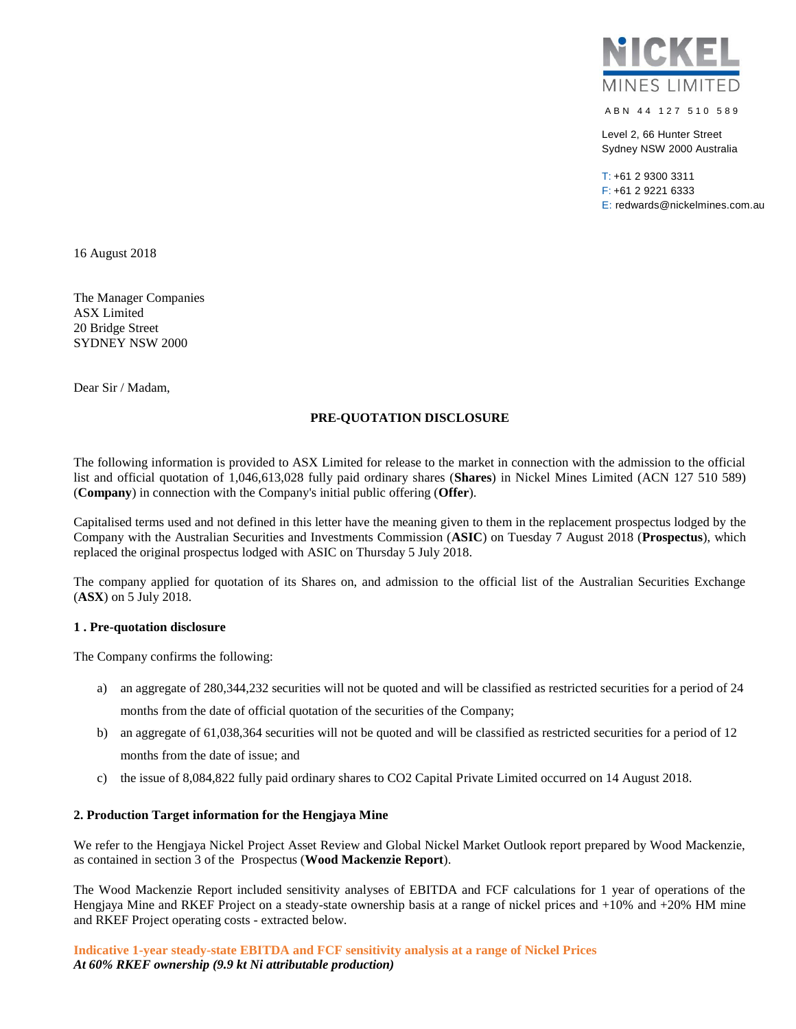

A B N 44 127 510 589

Level 2, 66 Hunter Street Sydney NSW 2000 Australia

T: +61 2 9300 3311 F: +61 2 9221 6333 E: redwards@nickelmines.com.au

16 August 2018

The Manager Companies ASX Limited 20 Bridge Street SYDNEY NSW 2000

Dear Sir / Madam,

## **PRE-QUOTATION DISCLOSURE**

The following information is provided to ASX Limited for release to the market in connection with the admission to the official list and official quotation of 1,046,613,028 fully paid ordinary shares (**Shares**) in Nickel Mines Limited (ACN 127 510 589) (**Company**) in connection with the Company's initial public offering (**Offer**).

Capitalised terms used and not defined in this letter have the meaning given to them in the replacement prospectus lodged by the Company with the Australian Securities and Investments Commission (**ASIC**) on Tuesday 7 August 2018 (**Prospectus**), which replaced the original prospectus lodged with ASIC on Thursday 5 July 2018.

The company applied for quotation of its Shares on, and admission to the official list of the Australian Securities Exchange (**ASX**) on 5 July 2018.

### **1 . Pre-quotation disclosure**

The Company confirms the following:

- a) an aggregate of 280,344,232 securities will not be quoted and will be classified as restricted securities for a period of 24 months from the date of official quotation of the securities of the Company;
- b) an aggregate of 61,038,364 securities will not be quoted and will be classified as restricted securities for a period of 12 months from the date of issue; and
- c) the issue of 8,084,822 fully paid ordinary shares to CO2 Capital Private Limited occurred on 14 August 2018.

### **2. Production Target information for the Hengjaya Mine**

We refer to the Hengjaya Nickel Project Asset Review and Global Nickel Market Outlook report prepared by Wood Mackenzie, as contained in section 3 of the Prospectus (**Wood Mackenzie Report**).

The Wood Mackenzie Report included sensitivity analyses of EBITDA and FCF calculations for 1 year of operations of the Hengjaya Mine and RKEF Project on a steady-state ownership basis at a range of nickel prices and +10% and +20% HM mine and RKEF Project operating costs - extracted below.

**Indicative 1-year steady-state EBITDA and FCF sensitivity analysis at a range of Nickel Prices** *At 60% RKEF ownership (9.9 kt Ni attributable production)*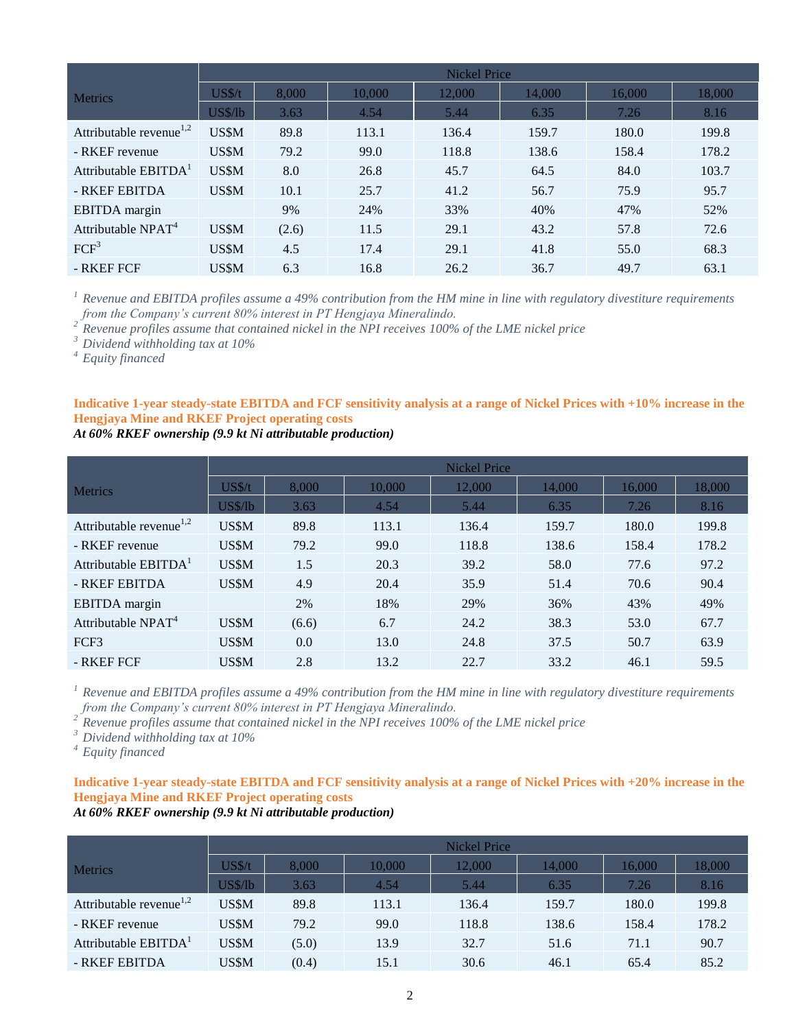|                                     | <b>Nickel Price</b> |       |        |        |        |        |        |  |
|-------------------------------------|---------------------|-------|--------|--------|--------|--------|--------|--|
| <b>Metrics</b>                      | US <sub>5</sub> /t  | 8.000 | 10,000 | 12.000 | 14.000 | 16.000 | 18,000 |  |
|                                     | US\$/lb             | 3.63  | 4.54   | 5.44   | 6.35   | 7.26   | 8.16   |  |
| Attributable revenue <sup>1,2</sup> | US\$M               | 89.8  | 113.1  | 136.4  | 159.7  | 180.0  | 199.8  |  |
| - RKEF revenue                      | US\$M               | 79.2  | 99.0   | 118.8  | 138.6  | 158.4  | 178.2  |  |
| Attributable EBITDA <sup>1</sup>    | US\$M               | 8.0   | 26.8   | 45.7   | 64.5   | 84.0   | 103.7  |  |
| - RKEF EBITDA                       | US\$M               | 10.1  | 25.7   | 41.2   | 56.7   | 75.9   | 95.7   |  |
| <b>EBITDA</b> margin                |                     | 9%    | 24%    | 33%    | 40%    | 47%    | 52%    |  |
| Attributable NPAT <sup>4</sup>      | US\$M               | (2.6) | 11.5   | 29.1   | 43.2   | 57.8   | 72.6   |  |
| FCF <sup>3</sup>                    | US\$M               | 4.5   | 17.4   | 29.1   | 41.8   | 55.0   | 68.3   |  |
| - RKEF FCF                          | US\$M               | 6.3   | 16.8   | 26.2   | 36.7   | 49.7   | 63.1   |  |

*<sup>1</sup> Revenue and EBITDA profiles assume a 49% contribution from the HM mine in line with regulatory divestiture requirements from the Company's current 80% interest in PT Hengjaya Mineralindo.*<br><sup>2</sup> *Paramines 67* 

*<sup>2</sup> Revenue profiles assume that contained nickel in the NPI receives 100% of the LME nickel price*

*<sup>3</sup> Dividend withholding tax at 10%*

*<sup>4</sup> Equity financed*

**Indicative 1-year steady-state EBITDA and FCF sensitivity analysis at a range of Nickel Prices with +10% increase in the Hengjaya Mine and RKEF Project operating costs**

*At 60% RKEF ownership (9.9 kt Ni attributable production)* 

|                                     | <b>Nickel Price</b> |       |        |        |        |        |        |
|-------------------------------------|---------------------|-------|--------|--------|--------|--------|--------|
| <b>Metrics</b>                      | US\$/t              | 8.000 | 10.000 | 12,000 | 14,000 | 16.000 | 18,000 |
|                                     | US\$/lb             | 3.63  | 4.54   | 5.44   | 6.35   | 7.26   | 8.16   |
| Attributable revenue <sup>1,2</sup> | US\$M               | 89.8  | 113.1  | 136.4  | 159.7  | 180.0  | 199.8  |
| - RKEF revenue                      | US\$M               | 79.2  | 99.0   | 118.8  | 138.6  | 158.4  | 178.2  |
| Attributable EBITDA <sup>1</sup>    | US\$M               | 1.5   | 20.3   | 39.2   | 58.0   | 77.6   | 97.2   |
| - RKEF EBITDA                       | US\$M               | 4.9   | 20.4   | 35.9   | 51.4   | 70.6   | 90.4   |
| <b>EBITDA</b> margin                |                     | 2%    | 18%    | 29%    | 36%    | 43%    | 49%    |
| Attributable $NPATH^4$              | US\$M               | (6.6) | 6.7    | 24.2   | 38.3   | 53.0   | 67.7   |
| FCF3                                | US\$M               | 0.0   | 13.0   | 24.8   | 37.5   | 50.7   | 63.9   |
| - RKEF FCF                          | US\$M               | 2.8   | 13.2   | 22.7   | 33.2   | 46.1   | 59.5   |

*<sup>1</sup> Revenue and EBITDA profiles assume a 49% contribution from the HM mine in line with regulatory divestiture requirements from the Company's current 80% interest in PT Hengjaya Mineralindo.*<br><sup>2</sup> Revenue profiles community

*<sup>2</sup> Revenue profiles assume that contained nickel in the NPI receives 100% of the LME nickel price*

*<sup>3</sup> Dividend withholding tax at 10%*

*<sup>4</sup> Equity financed*

**Indicative 1-year steady-state EBITDA and FCF sensitivity analysis at a range of Nickel Prices with +20% increase in the Hengjaya Mine and RKEF Project operating costs**

### *At 60% RKEF ownership (9.9 kt Ni attributable production)*

|                                                                                                                          |         | <b>Nickel Price</b> |        |        |        |        |        |  |
|--------------------------------------------------------------------------------------------------------------------------|---------|---------------------|--------|--------|--------|--------|--------|--|
| <b>Metrics</b><br>Attributable revenue <sup><math>1,2</math></sup><br>- RKEF revenue<br>Attributable EBITDA <sup>1</sup> | US\$/t  | 8.000               | 10.000 | 12,000 | 14,000 | 16,000 | 18,000 |  |
|                                                                                                                          | US\$/lb | 3.63                | 4.54   | 5.44   | 6.35   | 7.26   | 8.16   |  |
|                                                                                                                          | US\$M   | 89.8                | 113.1  | 136.4  | 159.7  | 180.0  | 199.8  |  |
|                                                                                                                          | US\$M   | 79.2                | 99.0   | 118.8  | 138.6  | 158.4  | 178.2  |  |
|                                                                                                                          | US\$M   | (5.0)               | 13.9   | 32.7   | 51.6   | 71.1   | 90.7   |  |
| - RKEF EBITDA                                                                                                            | US\$M   | (0.4)               | 15.1   | 30.6   | 46.1   | 65.4   | 85.2   |  |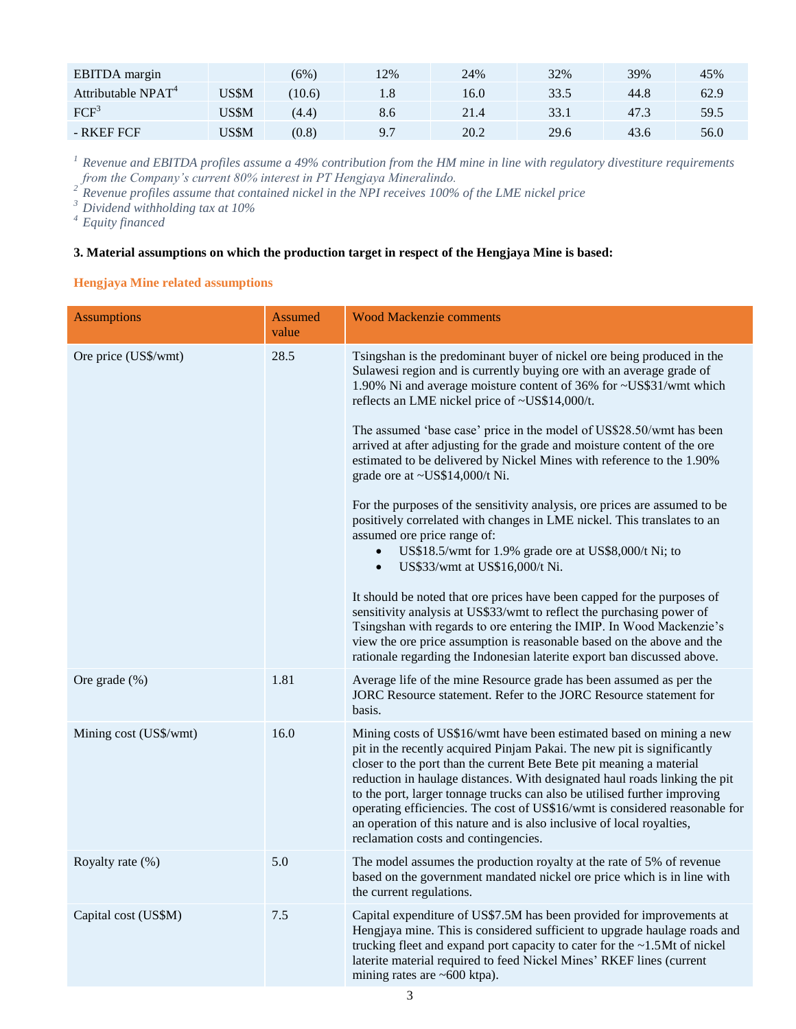| <b>EBITDA</b> margin           |              | (6%)   | 2%  | 24%  | 32%  | 39%  | 45%  |
|--------------------------------|--------------|--------|-----|------|------|------|------|
| Attributable NPAT <sup>4</sup> | 'JS\$M       | (10.6) | 1.8 | 16.0 | 33.5 | 44.8 | 62.9 |
| FCF <sup>3</sup>               | <b>JS\$M</b> | (4.4)  | 8.6 | 21.4 | 33.1 | 47.3 | 59.5 |
| - RKEF FCF                     | <b>JS\$M</b> | (0.8)  | 9.7 | 20.2 | 29.6 | 43.6 | 56.0 |

*<sup>1</sup> Revenue and EBITDA profiles assume a 49% contribution from the HM mine in line with regulatory divestiture requirements from the Company's current 80% interest in PT Hengjaya Mineralindo.* 

*<sup>2</sup> Revenue profiles assume that contained nickel in the NPI receives 100% of the LME nickel price*

*<sup>3</sup> Dividend withholding tax at 10%*

*<sup>4</sup> Equity financed*

# **3. Material assumptions on which the production target in respect of the Hengjaya Mine is based:**

# **Hengjaya Mine related assumptions**

| <b>Assumptions</b>     | <b>Assumed</b><br>value | <b>Wood Mackenzie comments</b>                                                                                                                                                                                                                                                                                                                                                                                                                                                                                                                                                                                                                                                                                                                                                                                                                                                                                                                                                                                                                                                                                                                                                                                         |
|------------------------|-------------------------|------------------------------------------------------------------------------------------------------------------------------------------------------------------------------------------------------------------------------------------------------------------------------------------------------------------------------------------------------------------------------------------------------------------------------------------------------------------------------------------------------------------------------------------------------------------------------------------------------------------------------------------------------------------------------------------------------------------------------------------------------------------------------------------------------------------------------------------------------------------------------------------------------------------------------------------------------------------------------------------------------------------------------------------------------------------------------------------------------------------------------------------------------------------------------------------------------------------------|
| Ore price (US\$/wmt)   | 28.5                    | Tsingshan is the predominant buyer of nickel ore being produced in the<br>Sulawesi region and is currently buying ore with an average grade of<br>1.90% Ni and average moisture content of 36% for ~US\$31/wmt which<br>reflects an LME nickel price of ~US\$14,000/t.<br>The assumed 'base case' price in the model of US\$28.50/wmt has been<br>arrived at after adjusting for the grade and moisture content of the ore<br>estimated to be delivered by Nickel Mines with reference to the 1.90%<br>grade ore at ~US\$14,000/t Ni.<br>For the purposes of the sensitivity analysis, ore prices are assumed to be<br>positively correlated with changes in LME nickel. This translates to an<br>assumed ore price range of:<br>US\$18.5/wmt for 1.9% grade ore at US\$8,000/t Ni; to<br>US\$33/wmt at US\$16,000/t Ni.<br>$\bullet$<br>It should be noted that ore prices have been capped for the purposes of<br>sensitivity analysis at US\$33/wmt to reflect the purchasing power of<br>Tsingshan with regards to ore entering the IMIP. In Wood Mackenzie's<br>view the ore price assumption is reasonable based on the above and the<br>rationale regarding the Indonesian laterite export ban discussed above. |
| Ore grade $(\%)$       | 1.81                    | Average life of the mine Resource grade has been assumed as per the<br>JORC Resource statement. Refer to the JORC Resource statement for<br>basis.                                                                                                                                                                                                                                                                                                                                                                                                                                                                                                                                                                                                                                                                                                                                                                                                                                                                                                                                                                                                                                                                     |
| Mining cost (US\$/wmt) | 16.0                    | Mining costs of US\$16/wmt have been estimated based on mining a new<br>pit in the recently acquired Pinjam Pakai. The new pit is significantly<br>closer to the port than the current Bete Bete pit meaning a material<br>reduction in haulage distances. With designated haul roads linking the pit<br>to the port, larger tonnage trucks can also be utilised further improving<br>operating efficiencies. The cost of US\$16/wmt is considered reasonable for<br>an operation of this nature and is also inclusive of local royalties,<br>reclamation costs and contingencies.                                                                                                                                                                                                                                                                                                                                                                                                                                                                                                                                                                                                                                     |
| Royalty rate (%)       | 5.0                     | The model assumes the production royalty at the rate of 5% of revenue<br>based on the government mandated nickel ore price which is in line with<br>the current regulations.                                                                                                                                                                                                                                                                                                                                                                                                                                                                                                                                                                                                                                                                                                                                                                                                                                                                                                                                                                                                                                           |
| Capital cost (US\$M)   | 7.5                     | Capital expenditure of US\$7.5M has been provided for improvements at<br>Hengjaya mine. This is considered sufficient to upgrade haulage roads and<br>trucking fleet and expand port capacity to cater for the $\sim$ 1.5Mt of nickel<br>laterite material required to feed Nickel Mines' RKEF lines (current<br>mining rates are $~600$ ktpa).                                                                                                                                                                                                                                                                                                                                                                                                                                                                                                                                                                                                                                                                                                                                                                                                                                                                        |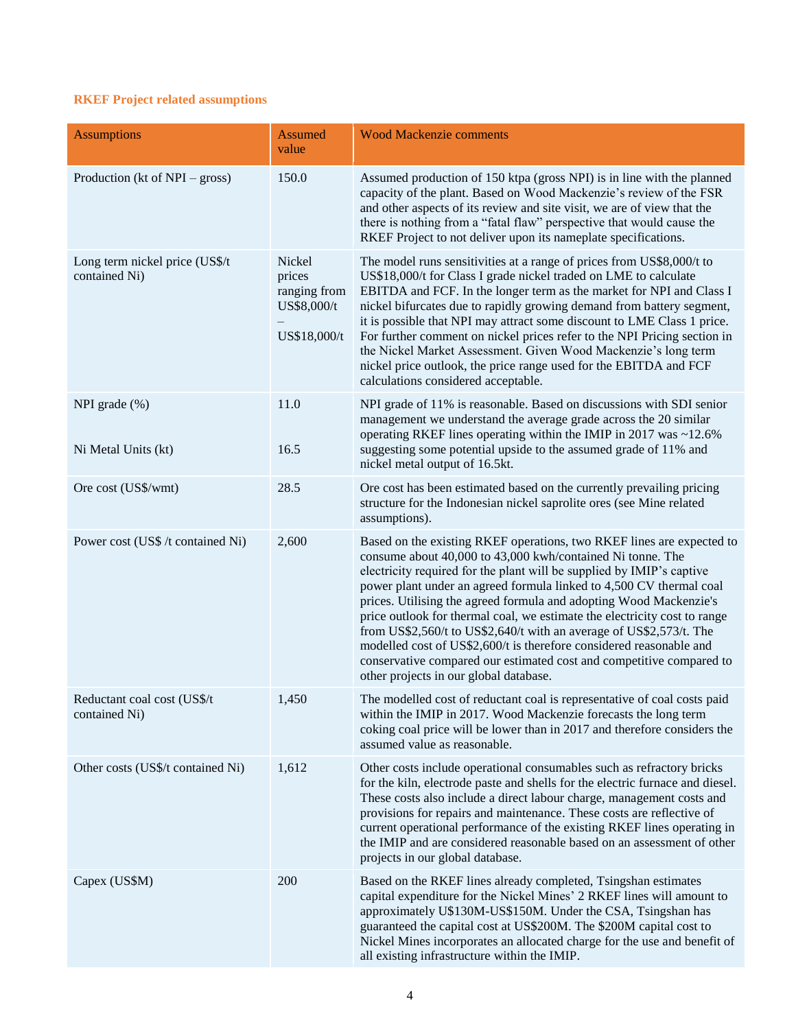# **RKEF Project related assumptions**

| <b>Assumptions</b>                              | <b>Assumed</b><br>value                                         | <b>Wood Mackenzie comments</b>                                                                                                                                                                                                                                                                                                                                                                                                                                                                                                                                                                                                                                                                         |
|-------------------------------------------------|-----------------------------------------------------------------|--------------------------------------------------------------------------------------------------------------------------------------------------------------------------------------------------------------------------------------------------------------------------------------------------------------------------------------------------------------------------------------------------------------------------------------------------------------------------------------------------------------------------------------------------------------------------------------------------------------------------------------------------------------------------------------------------------|
| Production (kt of NPI – gross)                  | 150.0                                                           | Assumed production of 150 ktpa (gross NPI) is in line with the planned<br>capacity of the plant. Based on Wood Mackenzie's review of the FSR<br>and other aspects of its review and site visit, we are of view that the<br>there is nothing from a "fatal flaw" perspective that would cause the<br>RKEF Project to not deliver upon its nameplate specifications.                                                                                                                                                                                                                                                                                                                                     |
| Long term nickel price (US\$/t<br>contained Ni) | Nickel<br>prices<br>ranging from<br>US\$8,000/t<br>US\$18,000/t | The model runs sensitivities at a range of prices from US\$8,000/t to<br>US\$18,000/t for Class I grade nickel traded on LME to calculate<br>EBITDA and FCF. In the longer term as the market for NPI and Class I<br>nickel bifurcates due to rapidly growing demand from battery segment,<br>it is possible that NPI may attract some discount to LME Class 1 price.<br>For further comment on nickel prices refer to the NPI Pricing section in<br>the Nickel Market Assessment. Given Wood Mackenzie's long term<br>nickel price outlook, the price range used for the EBITDA and FCF<br>calculations considered acceptable.                                                                        |
| NPI grade $(\%)$<br>Ni Metal Units (kt)         | 11.0<br>16.5                                                    | NPI grade of 11% is reasonable. Based on discussions with SDI senior<br>management we understand the average grade across the 20 similar<br>operating RKEF lines operating within the IMIP in 2017 was ~12.6%<br>suggesting some potential upside to the assumed grade of 11% and<br>nickel metal output of 16.5kt.                                                                                                                                                                                                                                                                                                                                                                                    |
| Ore cost (US\$/wmt)                             | 28.5                                                            | Ore cost has been estimated based on the currently prevailing pricing<br>structure for the Indonesian nickel saprolite ores (see Mine related<br>assumptions).                                                                                                                                                                                                                                                                                                                                                                                                                                                                                                                                         |
| Power cost (US\$ /t contained Ni)               | 2,600                                                           | Based on the existing RKEF operations, two RKEF lines are expected to<br>consume about 40,000 to 43,000 kwh/contained Ni tonne. The<br>electricity required for the plant will be supplied by IMIP's captive<br>power plant under an agreed formula linked to 4,500 CV thermal coal<br>prices. Utilising the agreed formula and adopting Wood Mackenzie's<br>price outlook for thermal coal, we estimate the electricity cost to range<br>from US\$2,560/t to US\$2,640/t with an average of US\$2,573/t. The<br>modelled cost of US\$2,600/t is therefore considered reasonable and<br>conservative compared our estimated cost and competitive compared to<br>other projects in our global database. |
| Reductant coal cost (US\$/t<br>contained Ni)    | 1,450                                                           | The modelled cost of reductant coal is representative of coal costs paid<br>within the IMIP in 2017. Wood Mackenzie forecasts the long term<br>coking coal price will be lower than in 2017 and therefore considers the<br>assumed value as reasonable.                                                                                                                                                                                                                                                                                                                                                                                                                                                |
| Other costs (US\$/t contained Ni)               | 1,612                                                           | Other costs include operational consumables such as refractory bricks<br>for the kiln, electrode paste and shells for the electric furnace and diesel.<br>These costs also include a direct labour charge, management costs and<br>provisions for repairs and maintenance. These costs are reflective of<br>current operational performance of the existing RKEF lines operating in<br>the IMIP and are considered reasonable based on an assessment of other<br>projects in our global database.                                                                                                                                                                                                      |
| Capex (US\$M)                                   | 200                                                             | Based on the RKEF lines already completed, Tsingshan estimates<br>capital expenditure for the Nickel Mines' 2 RKEF lines will amount to<br>approximately U\$130M-US\$150M. Under the CSA, Tsingshan has<br>guaranteed the capital cost at US\$200M. The \$200M capital cost to<br>Nickel Mines incorporates an allocated charge for the use and benefit of<br>all existing infrastructure within the IMIP.                                                                                                                                                                                                                                                                                             |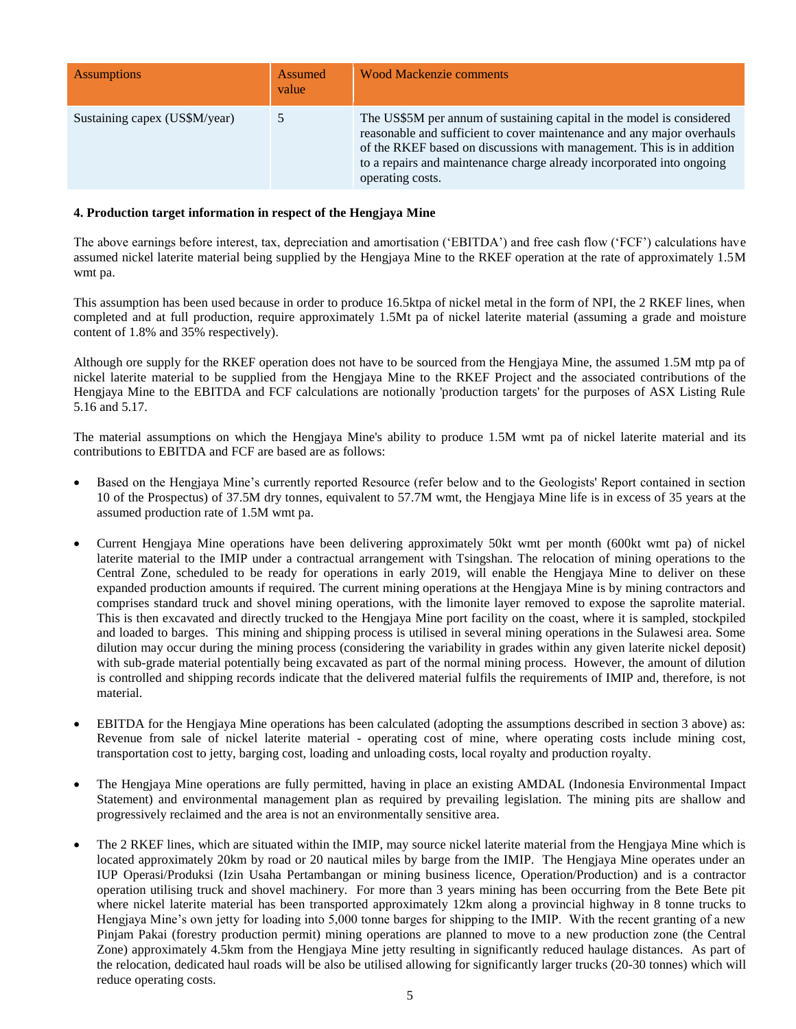| <b>Assumptions</b>            | Assumed<br>value | <b>Wood Mackenzie comments</b>                                                                                                                                                                                                                                                                                        |
|-------------------------------|------------------|-----------------------------------------------------------------------------------------------------------------------------------------------------------------------------------------------------------------------------------------------------------------------------------------------------------------------|
| Sustaining capex (US\$M/year) |                  | The US\$5M per annum of sustaining capital in the model is considered<br>reasonable and sufficient to cover maintenance and any major overhauls<br>of the RKEF based on discussions with management. This is in addition<br>to a repairs and maintenance charge already incorporated into ongoing<br>operating costs. |

## **4. Production target information in respect of the Hengjaya Mine**

The above earnings before interest, tax, depreciation and amortisation ('EBITDA') and free cash flow ('FCF') calculations have assumed nickel laterite material being supplied by the Hengjaya Mine to the RKEF operation at the rate of approximately 1.5M wmt pa.

This assumption has been used because in order to produce 16.5ktpa of nickel metal in the form of NPI, the 2 RKEF lines, when completed and at full production, require approximately 1.5Mt pa of nickel laterite material (assuming a grade and moisture content of 1.8% and 35% respectively).

Although ore supply for the RKEF operation does not have to be sourced from the Hengjaya Mine, the assumed 1.5M mtp pa of nickel laterite material to be supplied from the Hengjaya Mine to the RKEF Project and the associated contributions of the Hengjaya Mine to the EBITDA and FCF calculations are notionally 'production targets' for the purposes of ASX Listing Rule 5.16 and 5.17.

The material assumptions on which the Hengjaya Mine's ability to produce 1.5M wmt pa of nickel laterite material and its contributions to EBITDA and FCF are based are as follows:

- Based on the Hengjaya Mine's currently reported Resource (refer below and to the Geologists' Report contained in section 10 of the Prospectus) of 37.5M dry tonnes, equivalent to 57.7M wmt, the Hengjaya Mine life is in excess of 35 years at the assumed production rate of 1.5M wmt pa.
- Current Hengjaya Mine operations have been delivering approximately 50kt wmt per month (600kt wmt pa) of nickel laterite material to the IMIP under a contractual arrangement with Tsingshan. The relocation of mining operations to the Central Zone, scheduled to be ready for operations in early 2019, will enable the Hengjaya Mine to deliver on these expanded production amounts if required. The current mining operations at the Hengjaya Mine is by mining contractors and comprises standard truck and shovel mining operations, with the limonite layer removed to expose the saprolite material. This is then excavated and directly trucked to the Hengjaya Mine port facility on the coast, where it is sampled, stockpiled and loaded to barges. This mining and shipping process is utilised in several mining operations in the Sulawesi area. Some dilution may occur during the mining process (considering the variability in grades within any given laterite nickel deposit) with sub-grade material potentially being excavated as part of the normal mining process. However, the amount of dilution is controlled and shipping records indicate that the delivered material fulfils the requirements of IMIP and, therefore, is not material.
- EBITDA for the Hengjaya Mine operations has been calculated (adopting the assumptions described in section 3 above) as: Revenue from sale of nickel laterite material - operating cost of mine, where operating costs include mining cost, transportation cost to jetty, barging cost, loading and unloading costs, local royalty and production royalty.
- The Hengjaya Mine operations are fully permitted, having in place an existing AMDAL (Indonesia Environmental Impact Statement) and environmental management plan as required by prevailing legislation. The mining pits are shallow and progressively reclaimed and the area is not an environmentally sensitive area.
- The 2 RKEF lines, which are situated within the IMIP, may source nickel laterite material from the Hengjaya Mine which is located approximately 20km by road or 20 nautical miles by barge from the IMIP. The Hengjaya Mine operates under an IUP Operasi/Produksi (Izin Usaha Pertambangan or mining business licence, Operation/Production) and is a contractor operation utilising truck and shovel machinery. For more than 3 years mining has been occurring from the Bete Bete pit where nickel laterite material has been transported approximately 12km along a provincial highway in 8 tonne trucks to Hengjaya Mine's own jetty for loading into 5,000 tonne barges for shipping to the IMIP. With the recent granting of a new Pinjam Pakai (forestry production permit) mining operations are planned to move to a new production zone (the Central Zone) approximately 4.5km from the Hengjaya Mine jetty resulting in significantly reduced haulage distances. As part of the relocation, dedicated haul roads will be also be utilised allowing for significantly larger trucks (20-30 tonnes) which will reduce operating costs.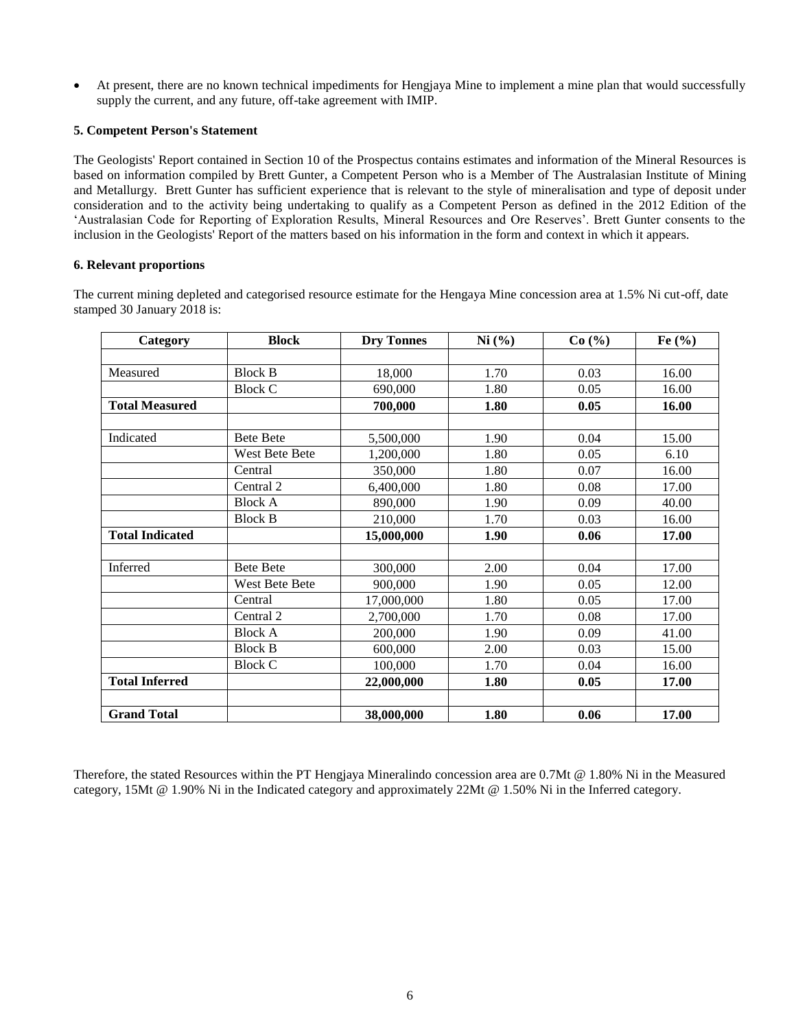At present, there are no known technical impediments for Hengjaya Mine to implement a mine plan that would successfully supply the current, and any future, off-take agreement with IMIP.

### **5. Competent Person's Statement**

The Geologists' Report contained in Section 10 of the Prospectus contains estimates and information of the Mineral Resources is based on information compiled by Brett Gunter, a Competent Person who is a Member of The Australasian Institute of Mining and Metallurgy. Brett Gunter has sufficient experience that is relevant to the style of mineralisation and type of deposit under consideration and to the activity being undertaking to qualify as a Competent Person as defined in the 2012 Edition of the 'Australasian Code for Reporting of Exploration Results, Mineral Resources and Ore Reserves'. Brett Gunter consents to the inclusion in the Geologists' Report of the matters based on his information in the form and context in which it appears.

## **6. Relevant proportions**

The current mining depleted and categorised resource estimate for the Hengaya Mine concession area at 1.5% Ni cut-off, date stamped 30 January 2018 is:

| Category               | <b>Block</b>          | <b>Dry Tonnes</b> | Ni (%) | Co(%) | Fe $(\%)$ |
|------------------------|-----------------------|-------------------|--------|-------|-----------|
|                        |                       |                   |        |       |           |
| Measured               | <b>Block B</b>        | 18,000            | 1.70   | 0.03  | 16.00     |
|                        | <b>Block C</b>        | 690,000           | 1.80   | 0.05  | 16.00     |
| <b>Total Measured</b>  |                       | 700,000           | 1.80   | 0.05  | 16.00     |
|                        |                       |                   |        |       |           |
| Indicated              | <b>Bete Bete</b>      | 5,500,000         | 1.90   | 0.04  | 15.00     |
|                        | West Bete Bete        | 1,200,000         | 1.80   | 0.05  | 6.10      |
|                        | Central               | 350,000           | 1.80   | 0.07  | 16.00     |
|                        | Central 2             | 6,400,000         | 1.80   | 0.08  | 17.00     |
|                        | <b>Block A</b>        | 890,000           | 1.90   | 0.09  | 40.00     |
|                        | <b>Block B</b>        | 210,000           | 1.70   | 0.03  | 16.00     |
| <b>Total Indicated</b> |                       | 15,000,000        | 1.90   | 0.06  | 17.00     |
|                        |                       |                   |        |       |           |
| Inferred               | <b>Bete Bete</b>      | 300,000           | 2.00   | 0.04  | 17.00     |
|                        | <b>West Bete Bete</b> | 900,000           | 1.90   | 0.05  | 12.00     |
|                        | Central               | 17,000,000        | 1.80   | 0.05  | 17.00     |
|                        | Central 2             | 2,700,000         | 1.70   | 0.08  | 17.00     |
|                        | <b>Block A</b>        | 200,000           | 1.90   | 0.09  | 41.00     |
|                        | <b>Block B</b>        | 600,000           | 2.00   | 0.03  | 15.00     |
|                        | <b>Block C</b>        | 100,000           | 1.70   | 0.04  | 16.00     |
| <b>Total Inferred</b>  |                       | 22,000,000        | 1.80   | 0.05  | 17.00     |
|                        |                       |                   |        |       |           |
| <b>Grand Total</b>     |                       | 38,000,000        | 1.80   | 0.06  | 17.00     |

Therefore, the stated Resources within the PT Hengjaya Mineralindo concession area are 0.7Mt @ 1.80% Ni in the Measured category, 15Mt @ 1.90% Ni in the Indicated category and approximately 22Mt @ 1.50% Ni in the Inferred category.